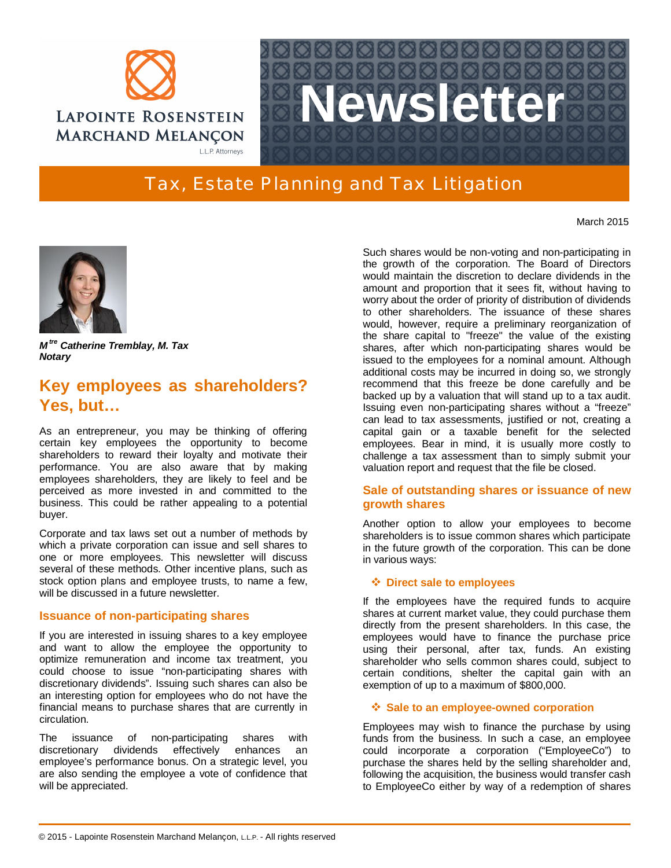



# Tax, Estate Planning and Tax Litigation

March 2015



*M tre Catherine Tremblay, M. Tax Notary*

# **Key employees as shareholders? Yes, but…**

As an entrepreneur, you may be thinking of offering certain key employees the opportunity to become shareholders to reward their loyalty and motivate their performance. You are also aware that by making employees shareholders, they are likely to feel and be perceived as more invested in and committed to the business. This could be rather appealing to a potential buyer.

Corporate and tax laws set out a number of methods by which a private corporation can issue and sell shares to one or more employees. This newsletter will discuss several of these methods. Other incentive plans, such as stock option plans and employee trusts, to name a few, will be discussed in a future newsletter.

# **Issuance of non-participating shares**

If you are interested in issuing shares to a key employee and want to allow the employee the opportunity to optimize remuneration and income tax treatment, you could choose to issue "non-participating shares with discretionary dividends". Issuing such shares can also be an interesting option for employees who do not have the financial means to purchase shares that are currently in circulation.

The issuance of non-participating shares with discretionary dividends effectively enhances an employee's performance bonus. On a strategic level, you are also sending the employee a vote of confidence that will be appreciated.

Such shares would be non-voting and non-participating in the growth of the corporation. The Board of Directors would maintain the discretion to declare dividends in the amount and proportion that it sees fit, without having to worry about the order of priority of distribution of dividends to other shareholders. The issuance of these shares would, however, require a preliminary reorganization of the share capital to "freeze" the value of the existing shares, after which non-participating shares would be issued to the employees for a nominal amount. Although additional costs may be incurred in doing so, we strongly recommend that this freeze be done carefully and be backed up by a valuation that will stand up to a tax audit. Issuing even non-participating shares without a "freeze" can lead to tax assessments, justified or not, creating a capital gain or a taxable benefit for the selected employees. Bear in mind, it is usually more costly to challenge a tax assessment than to simply submit your valuation report and request that the file be closed.

# **Sale of outstanding shares or issuance of new growth shares**

Another option to allow your employees to become shareholders is to issue common shares which participate in the future growth of the corporation. This can be done in various ways:

## **Direct sale to employees**

If the employees have the required funds to acquire shares at current market value, they could purchase them directly from the present shareholders. In this case, the employees would have to finance the purchase price using their personal, after tax, funds. An existing shareholder who sells common shares could, subject to certain conditions, shelter the capital gain with an exemption of up to a maximum of \$800,000.

## **Sale to an employee-owned corporation**

Employees may wish to finance the purchase by using funds from the business. In such a case, an employee could incorporate a corporation ("EmployeeCo") to purchase the shares held by the selling shareholder and, following the acquisition, the business would transfer cash to EmployeeCo either by way of a redemption of shares